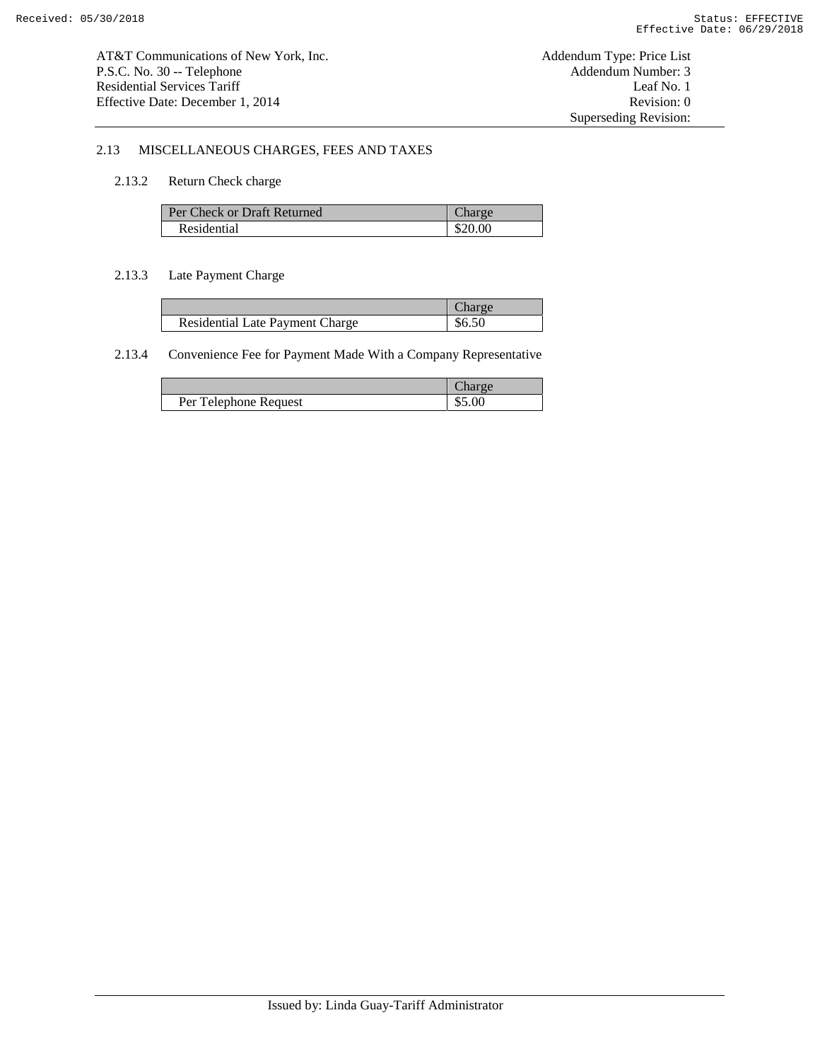## 2.13 MISCELLANEOUS CHARGES, FEES AND TAXES

## 2.13.2 Return Check charge

| Per Check or Draft Returned | Charge  |
|-----------------------------|---------|
| Residential                 | \$20.00 |

### 2.13.3 Late Payment Charge

|                                        | 'haroe |
|----------------------------------------|--------|
| <b>Residential Late Payment Charge</b> | \$6.50 |

# 2.13.4 Convenience Fee for Payment Made With a Company Representative

|                       | rge    |
|-----------------------|--------|
| Per Telephone Request | \$5.00 |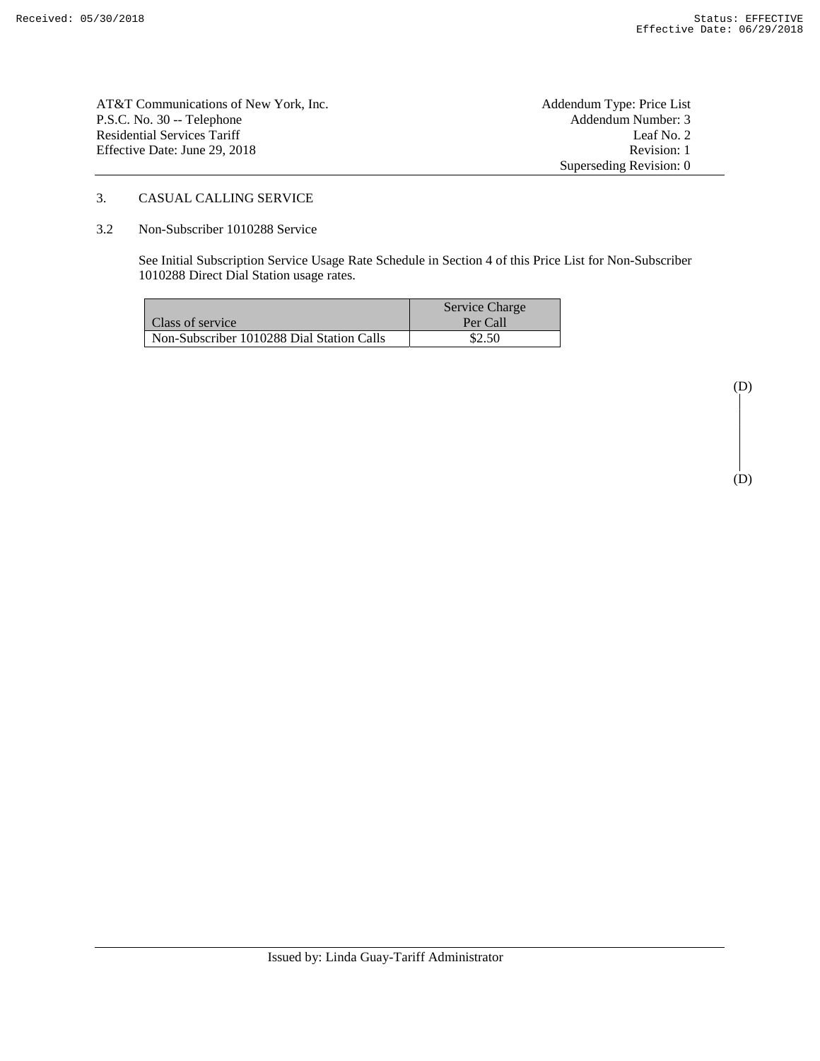| AT&T Communications of New York, Inc. | Addendum Type: Price List |
|---------------------------------------|---------------------------|
| P.S.C. No. 30 -- Telephone            | Addendum Number: 3        |
| Residential Services Tariff           | Leaf No. 2                |
| Effective Date: June 29. 2018         | Revision: 1               |
|                                       | Superseding Revision: 0   |

# 3. CASUAL CALLING SERVICE

#### 3.2 Non-Subscriber 1010288 Service

 See Initial Subscription Service Usage Rate Schedule in Section 4 of this Price List for Non-Subscriber 1010288 Direct Dial Station usage rates.

|                                           | Service Charge |
|-------------------------------------------|----------------|
| Class of service                          | Per Call       |
| Non-Subscriber 1010288 Dial Station Calls | \$2.50         |